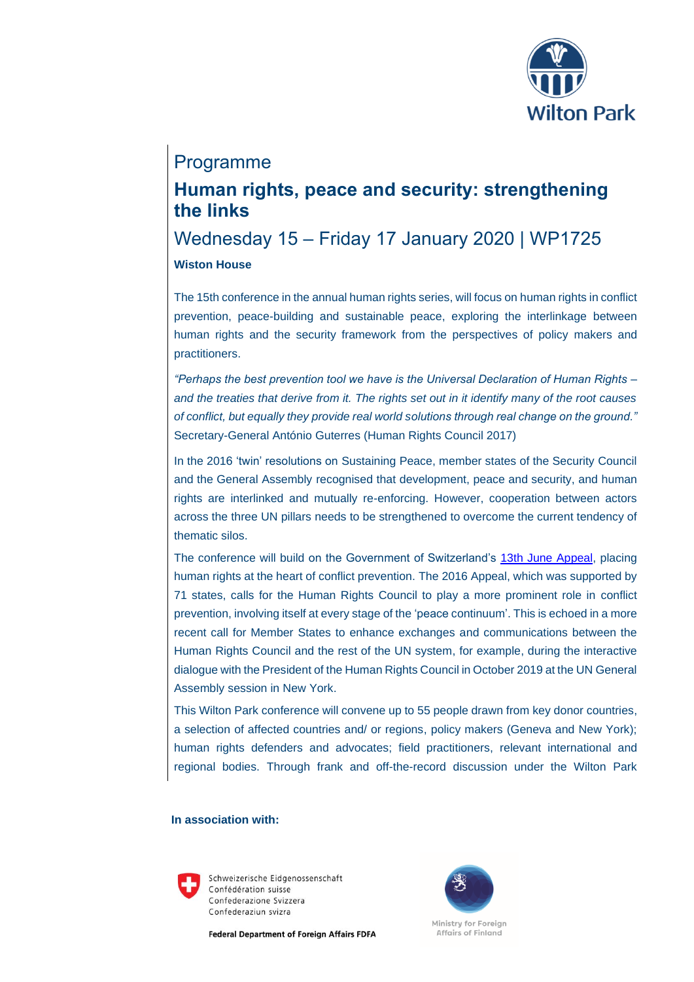

### Programme

# **Human rights, peace and security: strengthening the links**

## Wednesday 15 – Friday 17 January 2020 | WP1725 **Wiston House**

The 15th conference in the annual human rights series, will focus on human rights in conflict prevention, peace-building and sustainable peace, exploring the interlinkage between human rights and the security framework from the perspectives of policy makers and practitioners.

*"Perhaps the best prevention tool we have is the Universal Declaration of Human Rights – and the treaties that derive from it. The rights set out in it identify many of the root causes of conflict, but equally they provide real world solutions through real change on the ground."* Secretary-General António Guterres (Human Rights Council 2017)

In the 2016 'twin' resolutions on Sustaining Peace, member states of the Security Council and the General Assembly recognised that development, peace and security, and human rights are interlinked and mutually re-enforcing. However, cooperation between actors across the three UN pillars needs to be strengthened to overcome the current tendency of thematic silos.

The conference will build on the Government of Switzerland's [13th June Appeal,](https://www.admin.ch/gov/en/start/documentation/media-releases.msg-id-62152.html) placing human rights at the heart of conflict prevention. The 2016 Appeal, which was supported by 71 states, calls for the Human Rights Council to play a more prominent role in conflict prevention, involving itself at every stage of the 'peace continuum'. This is echoed in a more recent call for Member States to enhance exchanges and communications between the Human Rights Council and the rest of the UN system, for example, during the interactive dialogue with the President of the Human Rights Council in October 2019 at the UN General Assembly session in New York.

This Wilton Park conference will convene up to 55 people drawn from key donor countries, a selection of affected countries and/ or regions, policy makers (Geneva and New York); human rights defenders and advocates; field practitioners, relevant international and regional bodies. Through frank and off-the-record discussion under the Wilton Park

#### **In association with:**



Schweizerische Eidgenossenschaft Confédération suisse Confederazione Svizzera Confederaziun svizra

**Federal Department of Foreign Affairs FDFA** 

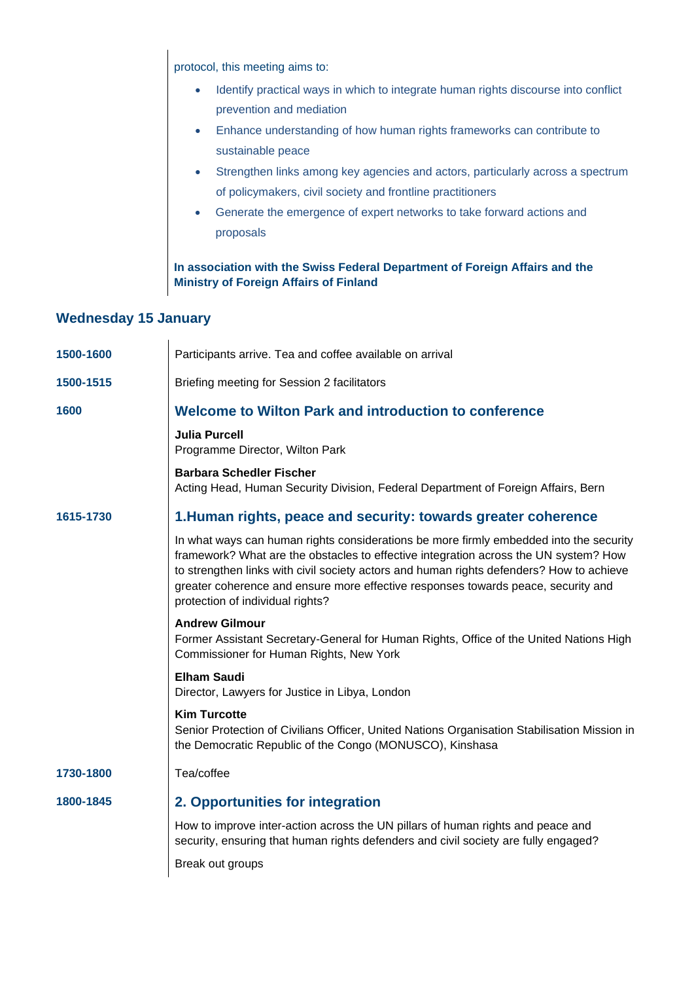protocol, this meeting aims to:

- Identify practical ways in which to integrate human rights discourse into conflict prevention and mediation
- Enhance understanding of how human rights frameworks can contribute to sustainable peace
- Strengthen links among key agencies and actors, particularly across a spectrum of policymakers, civil society and frontline practitioners
- Generate the emergence of expert networks to take forward actions and proposals

**In association with the Swiss Federal Department of Foreign Affairs and the Ministry of Foreign Affairs of Finland**

### **Wednesday 15 January**

| Participants arrive. Tea and coffee available on arrival                                                                                                                                                                                                                                                                                                                                            |
|-----------------------------------------------------------------------------------------------------------------------------------------------------------------------------------------------------------------------------------------------------------------------------------------------------------------------------------------------------------------------------------------------------|
| Briefing meeting for Session 2 facilitators                                                                                                                                                                                                                                                                                                                                                         |
| Welcome to Wilton Park and introduction to conference                                                                                                                                                                                                                                                                                                                                               |
| <b>Julia Purcell</b><br>Programme Director, Wilton Park                                                                                                                                                                                                                                                                                                                                             |
| <b>Barbara Schedler Fischer</b><br>Acting Head, Human Security Division, Federal Department of Foreign Affairs, Bern                                                                                                                                                                                                                                                                                |
| 1. Human rights, peace and security: towards greater coherence                                                                                                                                                                                                                                                                                                                                      |
| In what ways can human rights considerations be more firmly embedded into the security<br>framework? What are the obstacles to effective integration across the UN system? How<br>to strengthen links with civil society actors and human rights defenders? How to achieve<br>greater coherence and ensure more effective responses towards peace, security and<br>protection of individual rights? |
| <b>Andrew Gilmour</b><br>Former Assistant Secretary-General for Human Rights, Office of the United Nations High<br>Commissioner for Human Rights, New York                                                                                                                                                                                                                                          |
| <b>Elham Saudi</b><br>Director, Lawyers for Justice in Libya, London                                                                                                                                                                                                                                                                                                                                |
| <b>Kim Turcotte</b><br>Senior Protection of Civilians Officer, United Nations Organisation Stabilisation Mission in<br>the Democratic Republic of the Congo (MONUSCO), Kinshasa                                                                                                                                                                                                                     |
| Tea/coffee                                                                                                                                                                                                                                                                                                                                                                                          |
| 2. Opportunities for integration                                                                                                                                                                                                                                                                                                                                                                    |
| How to improve inter-action across the UN pillars of human rights and peace and<br>security, ensuring that human rights defenders and civil society are fully engaged?                                                                                                                                                                                                                              |
| Break out groups                                                                                                                                                                                                                                                                                                                                                                                    |
|                                                                                                                                                                                                                                                                                                                                                                                                     |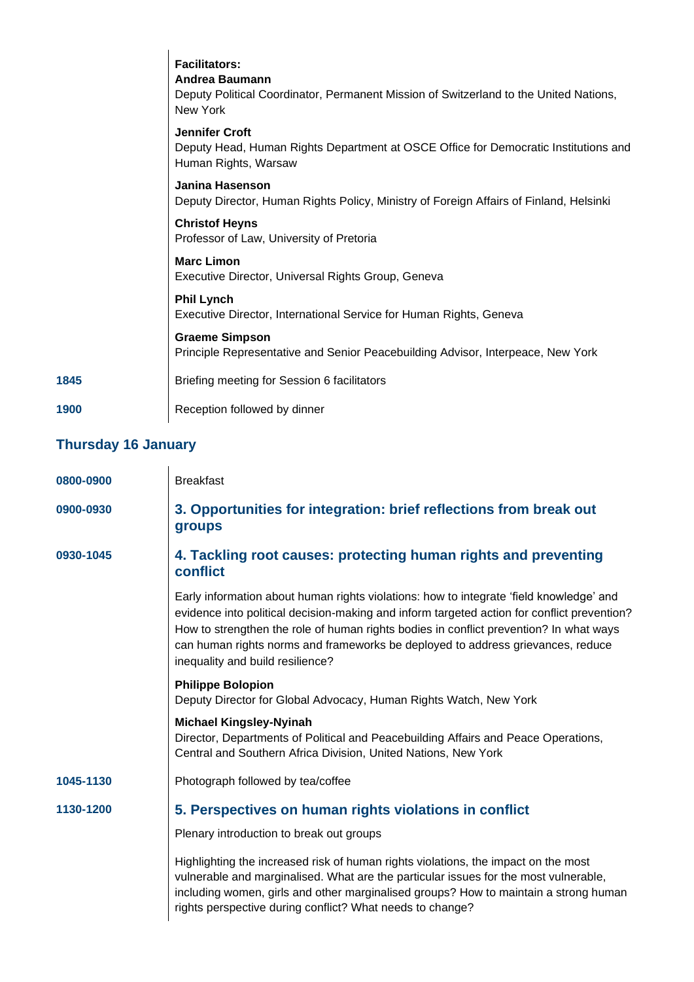|      | <b>Facilitators:</b><br>Andrea Baumann<br>Deputy Political Coordinator, Permanent Mission of Switzerland to the United Nations,<br>New York |
|------|---------------------------------------------------------------------------------------------------------------------------------------------|
|      | <b>Jennifer Croft</b><br>Deputy Head, Human Rights Department at OSCE Office for Democratic Institutions and<br>Human Rights, Warsaw        |
|      | Janina Hasenson<br>Deputy Director, Human Rights Policy, Ministry of Foreign Affairs of Finland, Helsinki                                   |
|      | <b>Christof Heyns</b><br>Professor of Law, University of Pretoria                                                                           |
|      | <b>Marc Limon</b><br>Executive Director, Universal Rights Group, Geneva                                                                     |
|      | <b>Phil Lynch</b><br>Executive Director, International Service for Human Rights, Geneva                                                     |
|      | <b>Graeme Simpson</b><br>Principle Representative and Senior Peacebuilding Advisor, Interpeace, New York                                    |
| 1845 | Briefing meeting for Session 6 facilitators                                                                                                 |
| 1900 | Reception followed by dinner                                                                                                                |

### **Thursday 16 January**

| 0800-0900 | <b>Breakfast</b>                                                                                                                                                                                                                                                                                                                                                                                        |
|-----------|---------------------------------------------------------------------------------------------------------------------------------------------------------------------------------------------------------------------------------------------------------------------------------------------------------------------------------------------------------------------------------------------------------|
| 0900-0930 | 3. Opportunities for integration: brief reflections from break out<br>groups                                                                                                                                                                                                                                                                                                                            |
| 0930-1045 | 4. Tackling root causes: protecting human rights and preventing<br>conflict                                                                                                                                                                                                                                                                                                                             |
|           | Early information about human rights violations: how to integrate 'field knowledge' and<br>evidence into political decision-making and inform targeted action for conflict prevention?<br>How to strengthen the role of human rights bodies in conflict prevention? In what ways<br>can human rights norms and frameworks be deployed to address grievances, reduce<br>inequality and build resilience? |
|           | <b>Philippe Bolopion</b><br>Deputy Director for Global Advocacy, Human Rights Watch, New York                                                                                                                                                                                                                                                                                                           |
|           | <b>Michael Kingsley-Nyinah</b><br>Director, Departments of Political and Peacebuilding Affairs and Peace Operations,<br>Central and Southern Africa Division, United Nations, New York                                                                                                                                                                                                                  |
| 1045-1130 | Photograph followed by tea/coffee                                                                                                                                                                                                                                                                                                                                                                       |
| 1130-1200 | 5. Perspectives on human rights violations in conflict                                                                                                                                                                                                                                                                                                                                                  |
|           | Plenary introduction to break out groups                                                                                                                                                                                                                                                                                                                                                                |
|           | Highlighting the increased risk of human rights violations, the impact on the most<br>vulnerable and marginalised. What are the particular issues for the most vulnerable,<br>including women, girls and other marginalised groups? How to maintain a strong human<br>rights perspective during conflict? What needs to change?                                                                         |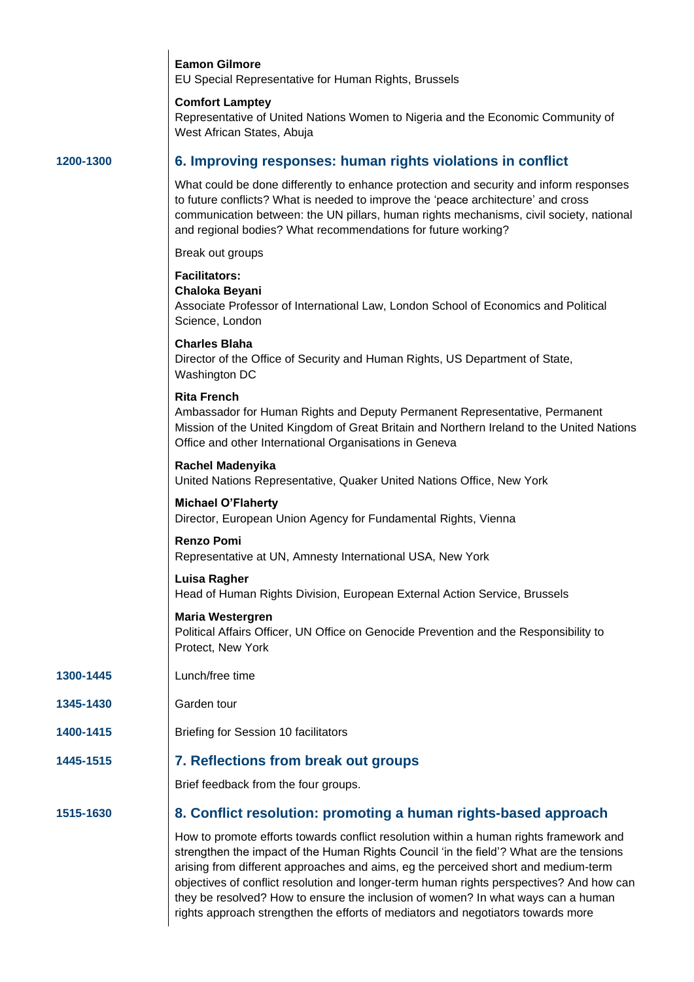|           | <b>Eamon Gilmore</b><br>EU Special Representative for Human Rights, Brussels                                                                                                                                                                                                                                                            |
|-----------|-----------------------------------------------------------------------------------------------------------------------------------------------------------------------------------------------------------------------------------------------------------------------------------------------------------------------------------------|
|           | <b>Comfort Lamptey</b><br>Representative of United Nations Women to Nigeria and the Economic Community of<br>West African States, Abuja                                                                                                                                                                                                 |
| 1200-1300 | 6. Improving responses: human rights violations in conflict                                                                                                                                                                                                                                                                             |
|           | What could be done differently to enhance protection and security and inform responses<br>to future conflicts? What is needed to improve the 'peace architecture' and cross<br>communication between: the UN pillars, human rights mechanisms, civil society, national<br>and regional bodies? What recommendations for future working? |
|           | Break out groups                                                                                                                                                                                                                                                                                                                        |
|           | <b>Facilitators:</b><br>Chaloka Beyani<br>Associate Professor of International Law, London School of Economics and Political                                                                                                                                                                                                            |
|           | Science, London                                                                                                                                                                                                                                                                                                                         |
|           | <b>Charles Blaha</b><br>Director of the Office of Security and Human Rights, US Department of State,<br>Washington DC                                                                                                                                                                                                                   |
|           | <b>Rita French</b><br>Ambassador for Human Rights and Deputy Permanent Representative, Permanent<br>Mission of the United Kingdom of Great Britain and Northern Ireland to the United Nations<br>Office and other International Organisations in Geneva                                                                                 |
|           | <b>Rachel Madenyika</b><br>United Nations Representative, Quaker United Nations Office, New York                                                                                                                                                                                                                                        |
|           | <b>Michael O'Flaherty</b><br>Director, European Union Agency for Fundamental Rights, Vienna                                                                                                                                                                                                                                             |
|           | <b>Renzo Pomi</b><br>Representative at UN, Amnesty International USA, New York                                                                                                                                                                                                                                                          |
|           | <b>Luisa Ragher</b><br>Head of Human Rights Division, European External Action Service, Brussels                                                                                                                                                                                                                                        |
|           | <b>Maria Westergren</b><br>Political Affairs Officer, UN Office on Genocide Prevention and the Responsibility to<br>Protect, New York                                                                                                                                                                                                   |
| 1300-1445 | Lunch/free time                                                                                                                                                                                                                                                                                                                         |
| 1345-1430 | Garden tour                                                                                                                                                                                                                                                                                                                             |
| 1400-1415 | Briefing for Session 10 facilitators                                                                                                                                                                                                                                                                                                    |
| 1445-1515 | 7. Reflections from break out groups                                                                                                                                                                                                                                                                                                    |
|           | Brief feedback from the four groups.                                                                                                                                                                                                                                                                                                    |
| 1515-1630 | 8. Conflict resolution: promoting a human rights-based approach                                                                                                                                                                                                                                                                         |
|           | How to promote efforts towards conflict resolution within a human rights framework and<br>strengthen the impact of the Human Rights Council 'in the field'? What are the tensions                                                                                                                                                       |

arising from different approaches and aims, eg the perceived short and medium-term objectives of conflict resolution and longer-term human rights perspectives? And how can they be resolved? How to ensure the inclusion of women? In what ways can a human rights approach strengthen the efforts of mediators and negotiators towards more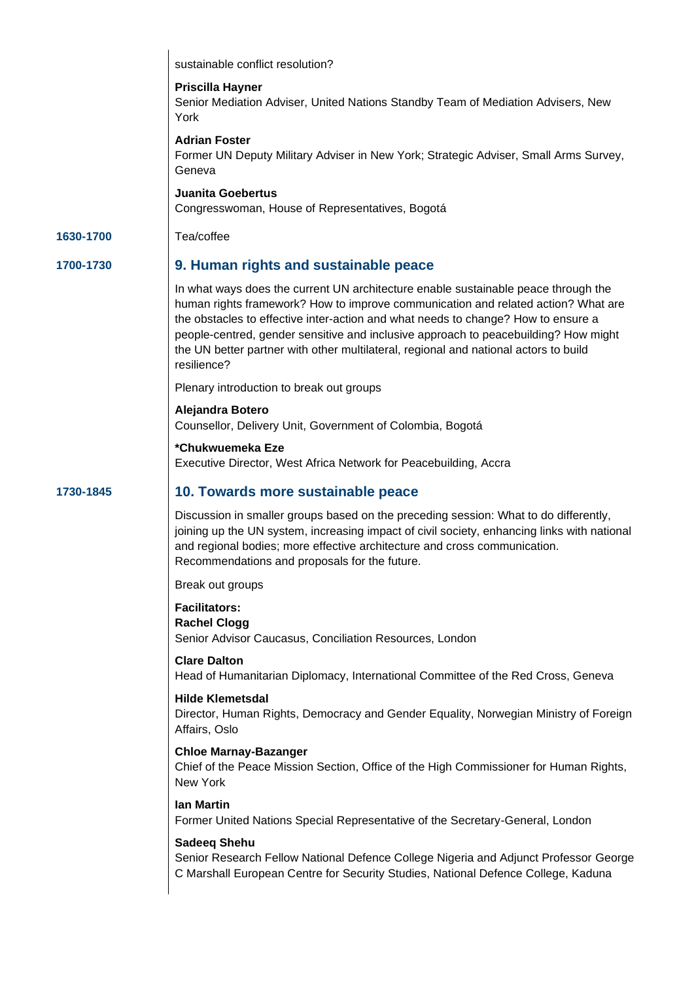|           | sustainable conflict resolution?                                                                                                                                                                                                                                                                                                                                                                                                                           |
|-----------|------------------------------------------------------------------------------------------------------------------------------------------------------------------------------------------------------------------------------------------------------------------------------------------------------------------------------------------------------------------------------------------------------------------------------------------------------------|
|           | <b>Priscilla Hayner</b><br>Senior Mediation Adviser, United Nations Standby Team of Mediation Advisers, New<br>York                                                                                                                                                                                                                                                                                                                                        |
|           | <b>Adrian Foster</b><br>Former UN Deputy Military Adviser in New York; Strategic Adviser, Small Arms Survey,<br>Geneva                                                                                                                                                                                                                                                                                                                                     |
|           | <b>Juanita Goebertus</b><br>Congresswoman, House of Representatives, Bogotá                                                                                                                                                                                                                                                                                                                                                                                |
| 1630-1700 | Tea/coffee                                                                                                                                                                                                                                                                                                                                                                                                                                                 |
| 1700-1730 | 9. Human rights and sustainable peace                                                                                                                                                                                                                                                                                                                                                                                                                      |
|           | In what ways does the current UN architecture enable sustainable peace through the<br>human rights framework? How to improve communication and related action? What are<br>the obstacles to effective inter-action and what needs to change? How to ensure a<br>people-centred, gender sensitive and inclusive approach to peacebuilding? How might<br>the UN better partner with other multilateral, regional and national actors to build<br>resilience? |
|           | Plenary introduction to break out groups                                                                                                                                                                                                                                                                                                                                                                                                                   |
|           | Alejandra Botero<br>Counsellor, Delivery Unit, Government of Colombia, Bogotá                                                                                                                                                                                                                                                                                                                                                                              |
|           | *Chukwuemeka Eze<br>Executive Director, West Africa Network for Peacebuilding, Accra                                                                                                                                                                                                                                                                                                                                                                       |
| 1730-1845 | 10. Towards more sustainable peace                                                                                                                                                                                                                                                                                                                                                                                                                         |
|           | Discussion in smaller groups based on the preceding session: What to do differently,<br>joining up the UN system, increasing impact of civil society, enhancing links with national<br>and regional bodies; more effective architecture and cross communication.<br>Recommendations and proposals for the future.                                                                                                                                          |
|           | Break out groups                                                                                                                                                                                                                                                                                                                                                                                                                                           |
|           | <b>Facilitators:</b><br><b>Rachel Clogg</b><br>Senior Advisor Caucasus, Conciliation Resources, London                                                                                                                                                                                                                                                                                                                                                     |
|           | <b>Clare Dalton</b><br>Head of Humanitarian Diplomacy, International Committee of the Red Cross, Geneva                                                                                                                                                                                                                                                                                                                                                    |
|           | <b>Hilde Klemetsdal</b><br>Director, Human Rights, Democracy and Gender Equality, Norwegian Ministry of Foreign<br>Affairs, Oslo                                                                                                                                                                                                                                                                                                                           |
|           | <b>Chloe Marnay-Bazanger</b><br>Chief of the Peace Mission Section, Office of the High Commissioner for Human Rights,<br>New York                                                                                                                                                                                                                                                                                                                          |
|           | lan Martin<br>Former United Nations Special Representative of the Secretary-General, London                                                                                                                                                                                                                                                                                                                                                                |
|           | <b>Sadeeq Shehu</b><br>Senior Research Fellow National Defence College Nigeria and Adjunct Professor George<br>C Marshall European Centre for Security Studies, National Defence College, Kaduna                                                                                                                                                                                                                                                           |